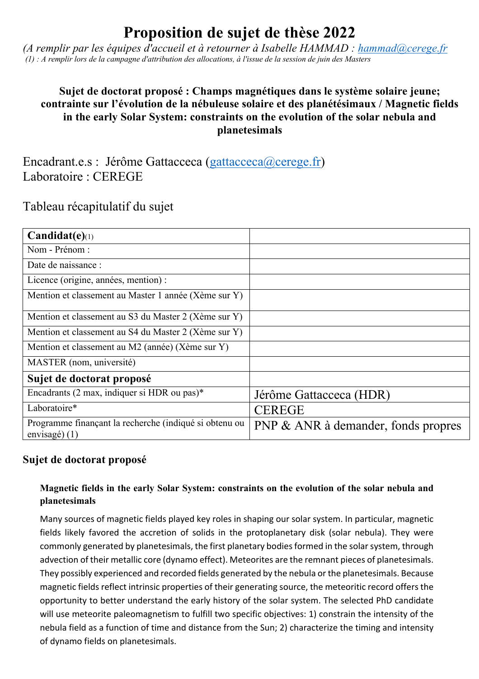# **Proposition de sujet de thèse 2022**

*(A remplir par les équipes d'accueil et à retourner à Isabelle HAMMAD : hammad@cerege.fr (1) : A remplir lors de la campagne d'attribution des allocations, à l'issue de la session de juin des Masters*

## **Sujet de doctorat proposé : Champs magnétiques dans le système solaire jeune; contrainte sur l'évolution de la nébuleuse solaire et des planétésimaux / Magnetic fields in the early Solar System: constraints on the evolution of the solar nebula and planetesimals**

Encadrant.e.s : Jérôme Gattacceca (gattacceca@cerege.fr) Laboratoire : CEREGE

## Tableau récapitulatif du sujet

| $Candidat(e)_{(1)}$                                                       |                                     |
|---------------------------------------------------------------------------|-------------------------------------|
| Nom - Prénom :                                                            |                                     |
| Date de naissance :                                                       |                                     |
| Licence (origine, années, mention) :                                      |                                     |
| Mention et classement au Master 1 année (Xème sur Y)                      |                                     |
| Mention et classement au S3 du Master 2 (Xème sur Y)                      |                                     |
| Mention et classement au S4 du Master 2 (Xème sur Y)                      |                                     |
| Mention et classement au M2 (année) (Xème sur Y)                          |                                     |
| MASTER (nom, université)                                                  |                                     |
| Sujet de doctorat proposé                                                 |                                     |
| Encadrants (2 max, indiquer si HDR ou pas)*                               | Jérôme Gattacceca (HDR)             |
| Laboratoire*                                                              | <b>CEREGE</b>                       |
| Programme finançant la recherche (indiqué si obtenu ou<br>envisagé) $(1)$ | PNP & ANR à demander, fonds propres |

## **Sujet de doctorat proposé**

## **Magnetic fields in the early Solar System: constraints on the evolution of the solar nebula and planetesimals**

Many sources of magnetic fields played key roles in shaping our solar system. In particular, magnetic fields likely favored the accretion of solids in the protoplanetary disk (solar nebula). They were commonly generated by planetesimals, the first planetary bodies formed in the solar system, through advection of their metallic core (dynamo effect). Meteorites are the remnant pieces of planetesimals. They possibly experienced and recorded fields generated by the nebula or the planetesimals. Because magnetic fields reflect intrinsic properties of their generating source, the meteoritic record offers the opportunity to better understand the early history of the solar system. The selected PhD candidate will use meteorite paleomagnetism to fulfill two specific objectives: 1) constrain the intensity of the nebula field as a function of time and distance from the Sun; 2) characterize the timing and intensity of dynamo fields on planetesimals.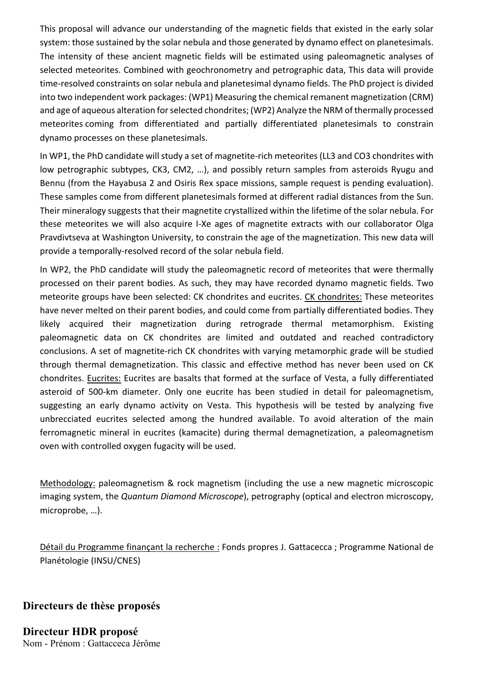This proposal will advance our understanding of the magnetic fields that existed in the early solar system: those sustained by the solar nebula and those generated by dynamo effect on planetesimals. The intensity of these ancient magnetic fields will be estimated using paleomagnetic analyses of selected meteorites. Combined with geochronometry and petrographic data, This data will provide time-resolved constraints on solar nebula and planetesimal dynamo fields. The PhD project is divided into two independent work packages: (WP1) Measuring the chemical remanent magnetization (CRM) and age of aqueous alteration for selected chondrites; (WP2) Analyze the NRM of thermally processed meteorites coming from differentiated and partially differentiated planetesimals to constrain dynamo processes on these planetesimals.

In WP1, the PhD candidate will study a set of magnetite-rich meteorites (LL3 and CO3 chondrites with low petrographic subtypes, CK3, CM2, …), and possibly return samples from asteroids Ryugu and Bennu (from the Hayabusa 2 and Osiris Rex space missions, sample request is pending evaluation). These samples come from different planetesimals formed at different radial distances from the Sun. Their mineralogy suggests that their magnetite crystallized within the lifetime of the solar nebula. For these meteorites we will also acquire I-Xe ages of magnetite extracts with our collaborator Olga Pravdivtseva at Washington University, to constrain the age of the magnetization. This new data will provide a temporally-resolved record of the solar nebula field.

In WP2, the PhD candidate will study the paleomagnetic record of meteorites that were thermally processed on their parent bodies. As such, they may have recorded dynamo magnetic fields. Two meteorite groups have been selected: CK chondrites and eucrites. CK chondrites: These meteorites have never melted on their parent bodies, and could come from partially differentiated bodies. They likely acquired their magnetization during retrograde thermal metamorphism. Existing paleomagnetic data on CK chondrites are limited and outdated and reached contradictory conclusions. A set of magnetite-rich CK chondrites with varying metamorphic grade will be studied through thermal demagnetization. This classic and effective method has never been used on CK chondrites. Eucrites: Eucrites are basalts that formed at the surface of Vesta, a fully differentiated asteroid of 500-km diameter. Only one eucrite has been studied in detail for paleomagnetism, suggesting an early dynamo activity on Vesta. This hypothesis will be tested by analyzing five unbrecciated eucrites selected among the hundred available. To avoid alteration of the main ferromagnetic mineral in eucrites (kamacite) during thermal demagnetization, a paleomagnetism oven with controlled oxygen fugacity will be used.

Methodology: paleomagnetism & rock magnetism (including the use a new magnetic microscopic imaging system, the *Quantum Diamond Microscope*), petrography (optical and electron microscopy, microprobe, …).

Détail du Programme finançant la recherche : Fonds propres J. Gattacecca ; Programme National de Planétologie (INSU/CNES)

**Directeurs de thèse proposés**

**Directeur HDR proposé** Nom - Prénom : Gattacceca Jérôme